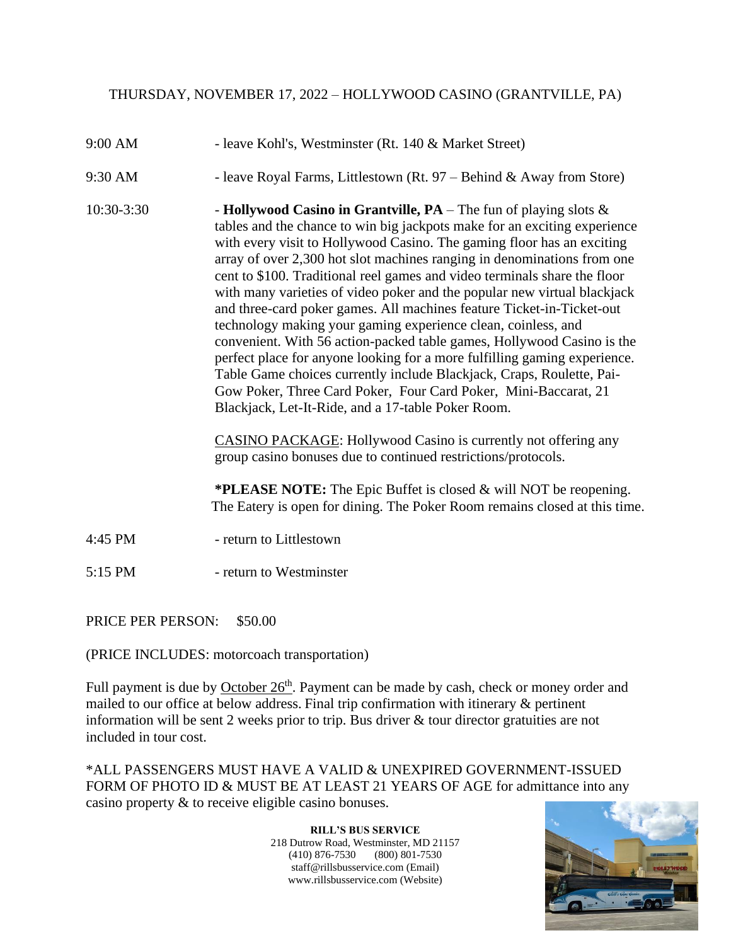## THURSDAY, NOVEMBER 17, 2022 – HOLLYWOOD CASINO (GRANTVILLE, PA)

- 9:00 AM leave Kohl's, Westminster (Rt. 140 & Market Street)
- 9:30 AM leave Royal Farms, Littlestown (Rt. 97 Behind & Away from Store)
- 10:30-3:30 **Hollywood Casino in Grantville, PA** The fun of playing slots & tables and the chance to win big jackpots make for an exciting experience with every visit to Hollywood Casino. The gaming floor has an exciting array of over 2,300 hot slot machines ranging in denominations from one cent to \$100. Traditional reel games and video terminals share the floor with many varieties of video poker and the popular new virtual blackjack and three-card poker games. All machines feature Ticket-in-Ticket-out technology making your gaming experience clean, coinless, and convenient. With 56 action-packed table games, Hollywood Casino is the perfect place for anyone looking for a more fulfilling gaming experience. Table Game choices currently include Blackjack, Craps, Roulette, Pai-Gow Poker, Three Card Poker, Four Card Poker, Mini-Baccarat, 21 Blackjack, Let-It-Ride, and a 17-table Poker Room.

CASINO PACKAGE: Hollywood Casino is currently not offering any group casino bonuses due to continued restrictions/protocols.

**\*PLEASE NOTE:** The Epic Buffet is closed & will NOT be reopening. The Eatery is open for dining. The Poker Room remains closed at this time.

- 4:45 PM return to Littlestown
- 5:15 PM return to Westminster

PRICE PER PERSON: \$50.00

(PRICE INCLUDES: motorcoach transportation)

Full payment is due by October 26<sup>th</sup>. Payment can be made by cash, check or money order and mailed to our office at below address. Final trip confirmation with itinerary & pertinent information will be sent 2 weeks prior to trip. Bus driver & tour director gratuities are not included in tour cost.

\*ALL PASSENGERS MUST HAVE A VALID & UNEXPIRED GOVERNMENT-ISSUED FORM OF PHOTO ID & MUST BE AT LEAST 21 YEARS OF AGE for admittance into any casino property & to receive eligible casino bonuses.

> **RILL'S BUS SERVICE** 218 Dutrow Road, Westminster, MD 21157 (410) 876-7530 (800) 801-7530 staff@rillsbusservice.com (Email) www.rillsbusservice.com (Website)